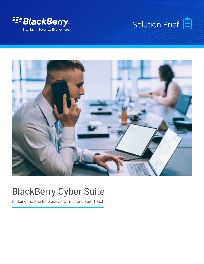





# BlackBerry Cyber Suite

Bridging the Gap Between Zero Trust and Zero Touch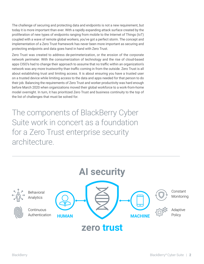The challenge of securing and protecting data and endpoints is not a new requirement, but today it is more important than ever. With a rapidly expanding attack surface created by the proliferation of new types of endpoints ranging from mobile to the Internet of Things (IoT) coupled with a wave of remote global workers, you've got a perfect storm. The concept and implementation of a Zero Trust framework has never been more important as securing and protecting endpoints and data goes hand in hand with Zero Trust.

Zero Trust was created to address de-perimeterization, or the erosion of the corporate network perimeter. With the consumerization of technology and the rise of cloud-based apps CISO's had to change their approach to assume that no traffic within an organization's network was any more trustworthy than traffic coming in from the outside. Zero Trust is all about establishing trust and limiting access. It is about ensuring you have a trusted user on a trusted device while limiting access to the data and apps needed for that person to do their job. Balancing the requirements of Zero Trust and worker productivity was hard enough before March 2020 when organizations moved their global workforce to a work-from-home model overnight. In turn, it has prioritized Zero Trust and business continuity to the top of the list of challenges that must be solved for.

The components of BlackBerry Cyber Suite work in concert as a foundation for a Zero Trust enterprise security architecture.

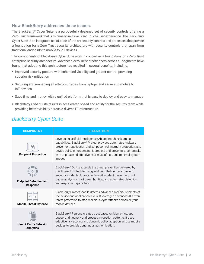### **How BlackBerry addresses these issues:**

The BlackBerry® Cyber Suite is a purposefully designed set of security controls offering a Zero Trust framework that is minimally invasive (Zero Touch) user experience. The BlackBerry Cyber Suite is an integrated set of state-of-the-art security controls and processes that provide a foundation for a Zero Trust security architecture with security controls that span from traditional endpoints to mobile to IoT devices.

The components of BlackBerry Cyber Suite work in concert as a foundation for a Zero Trust enterprise security architecture. Advanced Zero Trust practitioners across all segments have found that adopting this architecture has resulted in several benefits, including:

- **•** Improved security posture with enhanced visibility and greater control providing superior risk mitigation
- **•** Securing and managing all attack surfaces from laptops and servers to mobile to IoT devices
- **•** Save time and money with a unified platform that is easy to deploy and easy to manage
- **•** BlackBerry Cyber Suite results in accelerated speed and agility for the security team while providing better visibility across a diverse IT infrastructure.

# *BlackBerry Cyber Suite*

| <b>COMPONENT</b>                                      | <b>DESCRIPTION</b>                                                                                                                                                                                                                                                                                                                                     |
|-------------------------------------------------------|--------------------------------------------------------------------------------------------------------------------------------------------------------------------------------------------------------------------------------------------------------------------------------------------------------------------------------------------------------|
| <b>Endpoint Protection</b>                            | Leveraging artificial intelligence (AI) and machine learning<br>capabilities, BlackBerry® Protect provides automated malware<br>prevention, application and script control, memory protection, and<br>device policy enforcement. It predicts and prevents cyber-attacks<br>with unparalleled effectiveness, ease of use, and minimal system<br>impact. |
| <b>Endpoint Detection and</b><br><b>Response</b>      | BlackBerry® Optics extends the threat prevention delivered by<br>BlackBerry® Protect by using artificial intelligence to prevent<br>security incidents. It provides true AI incident prevention, root<br>cause analysis, smart threat hunting, and automated detection<br>and response capabilities.                                                   |
| <b>Mobile Threat Defense</b>                          | BlackBerry Protect Mobile detects advanced malicious threats at<br>the device and application levels. It leverages advanced AI-driven<br>threat protection to stop malicious cyberattacks across all your<br>mobile devices                                                                                                                            |
| <b>User &amp; Entity Behavior</b><br><b>Analytics</b> | BlackBerry® Persona creates trust based on biometrics, app<br>usage, and network and process invocation patterns. It uses<br>adaptive risk scoring and dynamic policy adaption across mobile<br>devices to provide continuous authentication.                                                                                                          |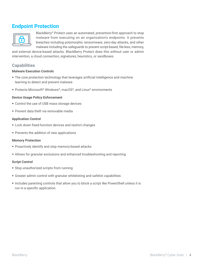# **Endpoint Protection**



BlackBerry® Protect uses an automated, prevention-first approach to stop malware from executing on an organization's endpoints. It prevents breaches including polymorphic ransomware, zero-day attacks, and other malware including the safeguards to prevent script-based, file-less, memory,

and external device-based attacks. BlackBerry Protect does this without user or admin intervention, a cloud connection, signatures, heuristics, or sandboxes.

### **Capabilities**

#### **Malware Execution Controls**

- **•** The core protection technology that leverages artificial intelligence and machine learning to detect and prevent malware
- **•** Protects Microsoft® Windows®, macOS®, and Linux® environments

#### **Device Usage Policy Enforcement**

- **•** Control the use of USB mass storage devices
- **•** Prevent data theft via removable media

#### **Application Control**

- **•** Lock down fixed-function devices and restrict changes
- **•** Prevents the addition of new applications

#### **Memory Protection**

- **•** Proactively identify and stop memory-based attacks
- **•** Allows for granular exclusions and enhanced troubleshooting and reporting

#### **Script Control**

- **•** Stop unauthorized scripts from running
- **•** Greater admin control with granular whitelisting and safelist capabilities
- **•** Includes parenting controls that allow you to block a script like PowerShell unless it is run in a specific application.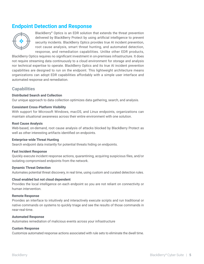# **Endpoint Detection and Response**



BlackBerry® Optics is an EDR solution that extends the threat prevention delivered by BlackBerry Protect by using artificial intelligence to prevent security incidents. BlackBerry Optics provides true AI incident prevention, root cause analysis, smart threat hunting, and automated detection, response, and remediation capabilities. Unlike other EDR products,

BlackBerry Optics requires no significant investment in on-premises infrastructure. It does not require streaming data continuously to a cloud environment for storage and analysis nor technical expertise to operate. BlackBerry Optics and its true AI incident prevention capabilities are designed to run on the endpoint. This lightweight architecture means organizations can adopt EDR capabilities affordably with a simple user interface and automated response and remediation.

### **Capabilities**

#### **Distributed Search and Collection**

Our unique approach to data collection optimizes data gathering, search, and analysis.

#### **Consistent Cross-Platform Visibility**

With support for Microsoft Windows, macOS, and Linux endpoints, organizations can maintain situational awareness across their entire environment with one solution.

#### **Root Cause Analysis**

Web-based, on-demand, root cause analysis of attacks blocked by BlackBerry Protect as well as other interesting artifacts identified on endpoints.

#### **Enterprise-wide Threat Hunting**

Search endpoint data instantly for potential threats hiding on endpoints.

#### **Fast Incident Response**

Quickly execute incident response actions, quarantining, acquiring suspicious files, and/or isolating compromised endpoints from the network.

#### **Dynamic Threat Detection**

Automates potential threat discovery, in real time, using custom and curated detection rules.

#### **Cloud enabled but not cloud dependent**

Provides the local intelligence on each endpoint so you are not reliant on connectivity or human intervention.

#### **Remote Response**

Provides an interface to intuitively and interactively execute scripts and run traditional or native commands on systems to quickly triage and see the results of those commands in near-real-time.

#### **Automated Response**

Automates remediation of malicious events across your infrastructure

#### **Custom Response**

Customize automated response actions associated with rule sets to eliminate the dwell time.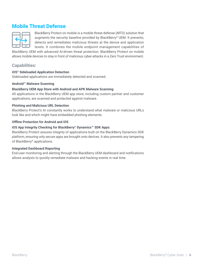# **Mobile Threat Defense**



BlackBerry Protect on mobile is a mobile threat defense (MTD) solution that augments the security baseline provided by BlackBerry® UEM. It prevents, detects and remediates malicious threats at the device and application levels. It combines the mobile endpoint management capabilities of

BlackBerry UEM with advanced AI-driven threat protection. BlackBerry Protect on mobile allows mobile devices to stay in front of malicious cyber-attacks in a Zero Trust environment.

### **Capabilities:**

#### **iOS® Sideloaded Application Detection**

Sideloaded applications are immediately detected and scanned.

#### **Android™ Malware Scanning**

#### **BlackBerry UEM App Store with Android and APK Malware Scanning**

All applications in the BlackBerry UEM app store, including custom partner and customer applications, are scanned and protected against malware.

#### **Phishing and Malicious URL Detection**

BlackBerry Protect's AI constantly works to understand what malware or malicious URLs look like and which might have embedded phishing elements.

#### **Offline Protection for Android and iOS**

#### **iOS App Integrity Checking for BlackBerry® Dynamics™ SDK Apps:**

BlackBerry Protect assures integrity of applications built on the BlackBerry Dynamics SDK platform, ensuring only secure apps are brought onto devices. It also prevents any tampering of BlackBerry® applications.

#### **Integrated Dashboard Reporting**

End-user monitoring and alerting through the BlackBerry UEM dashboard and notifications allows analysts to quickly remediate malware and hacking events in real time.